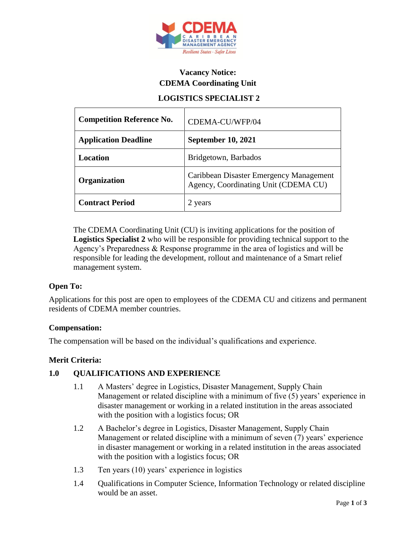

# **Vacancy Notice: CDEMA Coordinating Unit**

# **LOGISTICS SPECIALIST 2**

| <b>Competition Reference No.</b> | CDEMA-CU/WFP/04                                                                 |
|----------------------------------|---------------------------------------------------------------------------------|
| <b>Application Deadline</b>      | <b>September 10, 2021</b>                                                       |
| Location                         | Bridgetown, Barbados                                                            |
| Organization                     | Caribbean Disaster Emergency Management<br>Agency, Coordinating Unit (CDEMA CU) |
| <b>Contract Period</b>           | 2 years                                                                         |

The CDEMA Coordinating Unit (CU) is inviting applications for the position of **Logistics Specialist 2** who will be responsible for providing technical support to the Agency's Preparedness & Response programme in the area of logistics and will be responsible for leading the development, rollout and maintenance of a Smart relief management system.

## **Open To:**

Applications for this post are open to employees of the CDEMA CU and citizens and permanent residents of CDEMA member countries.

#### **Compensation:**

The compensation will be based on the individual's qualifications and experience.

#### **Merit Criteria:**

## **1.0 QUALIFICATIONS AND EXPERIENCE**

- 1.1 A Masters' degree in Logistics, Disaster Management, Supply Chain Management or related discipline with a minimum of five (5) years' experience in disaster management or working in a related institution in the areas associated with the position with a logistics focus; OR
- 1.2 A Bachelor's degree in Logistics, Disaster Management, Supply Chain Management or related discipline with a minimum of seven (7) years' experience in disaster management or working in a related institution in the areas associated with the position with a logistics focus; OR
- 1.3 Ten years (10) years' experience in logistics
- 1.4 Qualifications in Computer Science, Information Technology or related discipline would be an asset.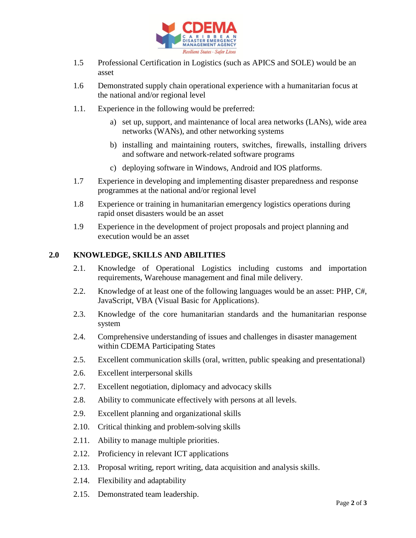

- 1.5 Professional Certification in Logistics (such as APICS and SOLE) would be an asset
- 1.6 Demonstrated supply chain operational experience with a humanitarian focus at the national and/or regional level
- 1.1. Experience in the following would be preferred:
	- a) set up, support, and maintenance of local area networks (LANs), wide area networks (WANs), and other networking systems
	- b) installing and maintaining routers, switches, firewalls, installing drivers and software and network-related software programs
	- c) deploying software in Windows, Android and IOS platforms.
- 1.7 Experience in developing and implementing disaster preparedness and response programmes at the national and/or regional level
- 1.8 Experience or training in humanitarian emergency logistics operations during rapid onset disasters would be an asset
- 1.9 Experience in the development of project proposals and project planning and execution would be an asset

#### **2.0 KNOWLEDGE, SKILLS AND ABILITIES**

- 2.1. Knowledge of Operational Logistics including customs and importation requirements, Warehouse management and final mile delivery.
- 2.2. Knowledge of at least one of the following languages would be an asset: PHP, C#, JavaScript, VBA (Visual Basic for Applications).
- 2.3. Knowledge of the core humanitarian standards and the humanitarian response system
- 2.4. Comprehensive understanding of issues and challenges in disaster management within CDEMA Participating States
- 2.5. Excellent communication skills (oral, written, public speaking and presentational)
- 2.6. Excellent interpersonal skills
- 2.7. Excellent negotiation, diplomacy and advocacy skills
- 2.8. Ability to communicate effectively with persons at all levels.
- 2.9. Excellent planning and organizational skills
- 2.10. Critical thinking and problem-solving skills
- 2.11. Ability to manage multiple priorities.
- 2.12. Proficiency in relevant ICT applications
- 2.13. Proposal writing, report writing, data acquisition and analysis skills.
- 2.14. Flexibility and adaptability
- 2.15. Demonstrated team leadership.